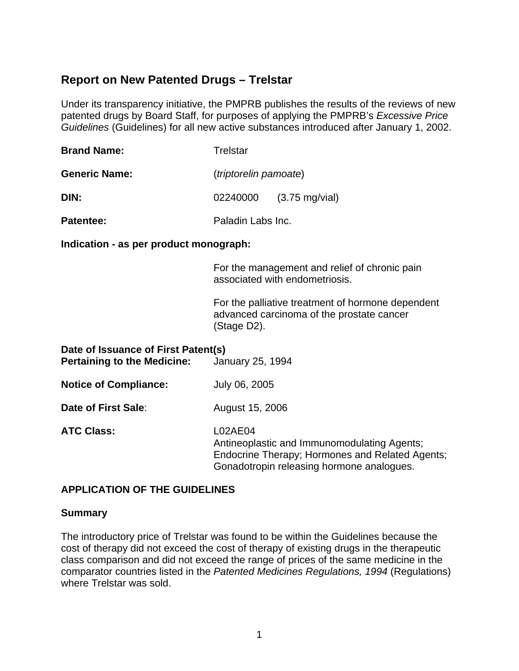# **Report on New Patented Drugs – Trelstar**

Under its transparency initiative, the PMPRB publishes the results of the reviews of new patented drugs by Board Staff, for purposes of applying the PMPRB's *Excessive Price Guidelines* (Guidelines) for all new active substances introduced after January 1, 2002.

| <b>Brand Name:</b>   | Trelstar |                              |  |  |
|----------------------|----------|------------------------------|--|--|
| <b>Generic Name:</b> |          | <i>(triptorelin pamoate)</i> |  |  |
| DIN:                 | 02240000 | $(3.75 \text{ mg/vial})$     |  |  |
| <b>Patentee:</b>     |          | Paladin Labs Inc.            |  |  |

#### **Indication - as per product monograph:**

 For the management and relief of chronic pain associated with endometriosis.

 For the palliative treatment of hormone dependent advanced carcinoma of the prostate cancer (Stage D2).

| Date of Issuance of First Patent(s)<br><b>Pertaining to the Medicine:</b> | January 25, 1994                                                                                                                                       |
|---------------------------------------------------------------------------|--------------------------------------------------------------------------------------------------------------------------------------------------------|
| <b>Notice of Compliance:</b>                                              | July 06, 2005                                                                                                                                          |
| Date of First Sale:                                                       | August 15, 2006                                                                                                                                        |
| <b>ATC Class:</b>                                                         | L02AE04<br>Antineoplastic and Immunomodulating Agents;<br>Endocrine Therapy; Hormones and Related Agents;<br>Gonadotropin releasing hormone analogues. |

### **APPLICATION OF THE GUIDELINES**

#### **Summary**

The introductory price of Trelstar was found to be within the Guidelines because the cost of therapy did not exceed the cost of therapy of existing drugs in the therapeutic class comparison and did not exceed the range of prices of the same medicine in the comparator countries listed in the *Patented Medicines Regulations, 1994* (Regulations) where Trelstar was sold.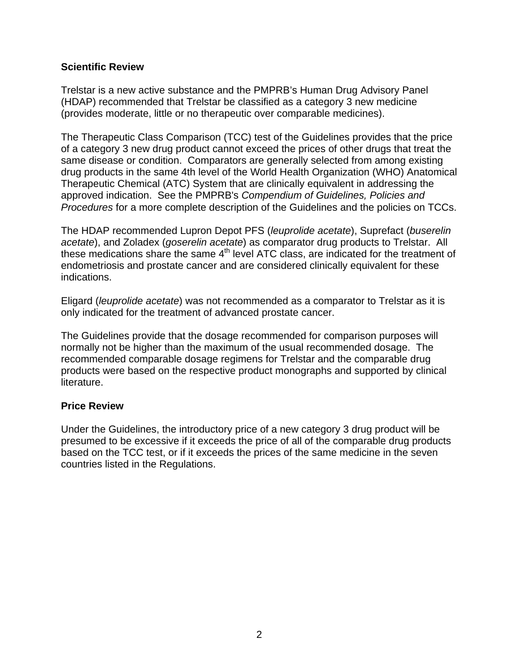### **Scientific Review**

Trelstar is a new active substance and the PMPRB's Human Drug Advisory Panel (HDAP) recommended that Trelstar be classified as a category 3 new medicine (provides moderate, little or no therapeutic over comparable medicines).

The Therapeutic Class Comparison (TCC) test of the Guidelines provides that the price of a category 3 new drug product cannot exceed the prices of other drugs that treat the same disease or condition. Comparators are generally selected from among existing drug products in the same 4th level of the World Health Organization (WHO) Anatomical Therapeutic Chemical (ATC) System that are clinically equivalent in addressing the approved indication. See the PMPRB's *Compendium of Guidelines, Policies and Procedures* for a more complete description of the Guidelines and the policies on TCCs.

The HDAP recommended Lupron Depot PFS (*leuprolide acetate*), Suprefact (*buserelin acetate*), and Zoladex (*goserelin acetate*) as comparator drug products to Trelstar. All these medications share the same  $4<sup>th</sup>$  level ATC class, are indicated for the treatment of endometriosis and prostate cancer and are considered clinically equivalent for these indications.

Eligard (*leuprolide acetate*) was not recommended as a comparator to Trelstar as it is only indicated for the treatment of advanced prostate cancer.

The Guidelines provide that the dosage recommended for comparison purposes will normally not be higher than the maximum of the usual recommended dosage. The recommended comparable dosage regimens for Trelstar and the comparable drug products were based on the respective product monographs and supported by clinical literature.

### **Price Review**

Under the Guidelines, the introductory price of a new category 3 drug product will be presumed to be excessive if it exceeds the price of all of the comparable drug products based on the TCC test, or if it exceeds the prices of the same medicine in the seven countries listed in the Regulations.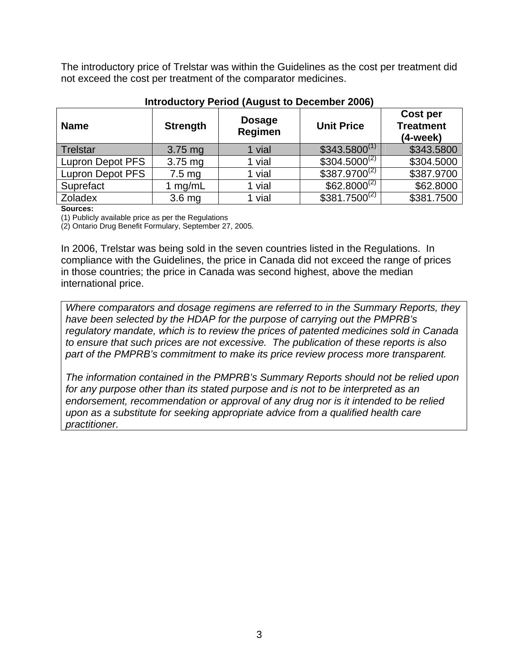The introductory price of Trelstar was within the Guidelines as the cost per treatment did not exceed the cost per treatment of the comparator medicines.

| <b>Name</b>      | <b>Strength</b>   | <b>Dosage</b><br>Regimen | <b>Unit Price</b> | Cost per<br><b>Treatment</b><br>$(4$ -week $)$ |
|------------------|-------------------|--------------------------|-------------------|------------------------------------------------|
| Trelstar         | $3.75$ mg         | 1 vial                   | $$343.5800^{(1)}$ | \$343.5800                                     |
| Lupron Depot PFS | $3.75$ mg         | 1 vial                   | $$304.5000^{(2)}$ | \$304.5000                                     |
| Lupron Depot PFS | $7.5 \text{ mg}$  | vial                     | $$387.9700^{(2)}$ | \$387.9700                                     |
| Suprefact        | mg/mL             | vial                     | $$62.8000^{(2)}$$ | \$62.8000                                      |
| <b>Zoladex</b>   | 3.6 <sub>mg</sub> | ∣ vial                   | $$381.7500^{(2)}$ | \$381.7500                                     |

### **Introductory Period (August to December 2006)**

**Sources:** 

(1) Publicly available price as per the Regulations

(2) Ontario Drug Benefit Formulary, September 27, 2005.

In 2006, Trelstar was being sold in the seven countries listed in the Regulations. In compliance with the Guidelines, the price in Canada did not exceed the range of prices in those countries; the price in Canada was second highest, above the median international price.

*Where comparators and dosage regimens are referred to in the Summary Reports, they have been selected by the HDAP for the purpose of carrying out the PMPRB's regulatory mandate, which is to review the prices of patented medicines sold in Canada to ensure that such prices are not excessive. The publication of these reports is also part of the PMPRB's commitment to make its price review process more transparent.* 

*The information contained in the PMPRB's Summary Reports should not be relied upon for any purpose other than its stated purpose and is not to be interpreted as an endorsement, recommendation or approval of any drug nor is it intended to be relied upon as a substitute for seeking appropriate advice from a qualified health care practitioner.*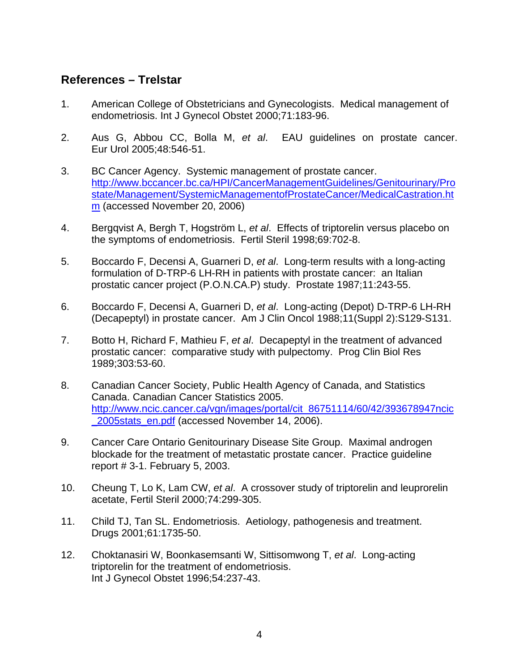## **References – Trelstar**

- 1. American College of Obstetricians and Gynecologists. Medical management of endometriosis. Int J Gynecol Obstet 2000;71:183-96.
- 2. Aus G, Abbou CC, Bolla M, *et al*. EAU guidelines on prostate cancer. Eur Urol 2005;48:546-51.
- 3. BC Cancer Agency. Systemic management of prostate cancer. http://www.bccancer.bc.ca/HPI/CancerManagementGuidelines/Genitourinary/Pro state/Management/SystemicManagementofProstateCancer/MedicalCastration.ht m (accessed November 20, 2006)
- 4. Bergqvist A, Bergh T, Hogström L, *et al*. Effects of triptorelin versus placebo on the symptoms of endometriosis. Fertil Steril 1998;69:702-8.
- 5. Boccardo F, Decensi A, Guarneri D, *et al*. Long-term results with a long-acting formulation of D-TRP-6 LH-RH in patients with prostate cancer: an Italian prostatic cancer project (P.O.N.CA.P) study. Prostate 1987;11:243-55.
- 6. Boccardo F, Decensi A, Guarneri D, *et al*. Long-acting (Depot) D-TRP-6 LH-RH (Decapeptyl) in prostate cancer. Am J Clin Oncol 1988;11(Suppl 2):S129-S131.
- 7. Botto H, Richard F, Mathieu F, *et al*. Decapeptyl in the treatment of advanced prostatic cancer: comparative study with pulpectomy. Prog Clin Biol Res 1989;303:53-60.
- 8. Canadian Cancer Society, Public Health Agency of Canada, and Statistics Canada. Canadian Cancer Statistics 2005. http://www.ncic.cancer.ca/vgn/images/portal/cit\_86751114/60/42/393678947ncic \_2005stats\_en.pdf (accessed November 14, 2006).
- 9. Cancer Care Ontario Genitourinary Disease Site Group. Maximal androgen blockade for the treatment of metastatic prostate cancer. Practice guideline report # 3-1. February 5, 2003.
- 10. Cheung T, Lo K, Lam CW, *et al*. A crossover study of triptorelin and leuprorelin acetate, Fertil Steril 2000;74:299-305.
- 11. Child TJ, Tan SL. Endometriosis. Aetiology, pathogenesis and treatment. Drugs 2001;61:1735-50.
- 12. Choktanasiri W, Boonkasemsanti W, Sittisomwong T, *et al*. Long-acting triptorelin for the treatment of endometriosis. Int J Gynecol Obstet 1996;54:237-43.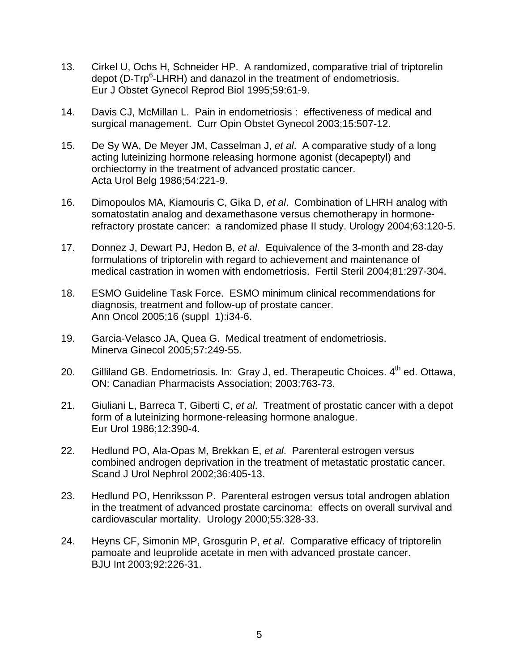- 13. Cirkel U, Ochs H, Schneider HP. A randomized, comparative trial of triptorelin depot (D-Trp<sup>6</sup>-LHRH) and danazol in the treatment of endometriosis. Eur J Obstet Gynecol Reprod Biol 1995;59:61-9.
- 14. Davis CJ, McMillan L. Pain in endometriosis : effectiveness of medical and surgical management. Curr Opin Obstet Gynecol 2003;15:507-12.
- 15. De Sy WA, De Meyer JM, Casselman J, *et al*. A comparative study of a long acting luteinizing hormone releasing hormone agonist (decapeptyl) and orchiectomy in the treatment of advanced prostatic cancer. Acta Urol Belg 1986;54:221-9.
- 16. Dimopoulos MA, Kiamouris C, Gika D, *et al*. Combination of LHRH analog with somatostatin analog and dexamethasone versus chemotherapy in hormonerefractory prostate cancer: a randomized phase II study. Urology 2004;63:120-5.
- 17. Donnez J, Dewart PJ, Hedon B, *et al*. Equivalence of the 3-month and 28-day formulations of triptorelin with regard to achievement and maintenance of medical castration in women with endometriosis. Fertil Steril 2004;81:297-304.
- 18. ESMO Guideline Task Force. ESMO minimum clinical recommendations for diagnosis, treatment and follow-up of prostate cancer. Ann Oncol 2005;16 (suppl 1):i34-6.
- 19. Garcia-Velasco JA, Quea G. Medical treatment of endometriosis. Minerva Ginecol 2005;57:249-55.
- 20. Gilliland GB. Endometriosis. In: Gray J, ed. Therapeutic Choices. 4<sup>th</sup> ed. Ottawa, ON: Canadian Pharmacists Association; 2003:763-73.
- 21. Giuliani L, Barreca T, Giberti C, *et al*. Treatment of prostatic cancer with a depot form of a luteinizing hormone-releasing hormone analogue. Eur Urol 1986;12:390-4.
- 22. Hedlund PO, Ala-Opas M, Brekkan E, *et al*. Parenteral estrogen versus combined androgen deprivation in the treatment of metastatic prostatic cancer. Scand J Urol Nephrol 2002;36:405-13.
- 23. Hedlund PO, Henriksson P. Parenteral estrogen versus total androgen ablation in the treatment of advanced prostate carcinoma: effects on overall survival and cardiovascular mortality. Urology 2000;55:328-33.
- 24. Heyns CF, Simonin MP, Grosgurin P, *et al*. Comparative efficacy of triptorelin pamoate and leuprolide acetate in men with advanced prostate cancer. BJU Int 2003;92:226-31.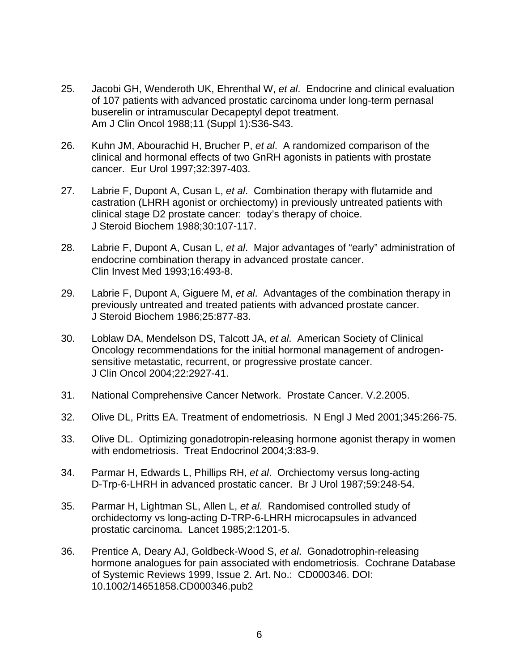- 25. Jacobi GH, Wenderoth UK, Ehrenthal W, *et al*. Endocrine and clinical evaluation of 107 patients with advanced prostatic carcinoma under long-term pernasal buserelin or intramuscular Decapeptyl depot treatment. Am J Clin Oncol 1988;11 (Suppl 1):S36-S43.
- 26. Kuhn JM, Abourachid H, Brucher P, *et al*. A randomized comparison of the clinical and hormonal effects of two GnRH agonists in patients with prostate cancer. Eur Urol 1997;32:397-403.
- 27. Labrie F, Dupont A, Cusan L, *et al*. Combination therapy with flutamide and castration (LHRH agonist or orchiectomy) in previously untreated patients with clinical stage D2 prostate cancer: today's therapy of choice. J Steroid Biochem 1988;30:107-117.
- 28. Labrie F, Dupont A, Cusan L, *et al*. Major advantages of "early" administration of endocrine combination therapy in advanced prostate cancer. Clin Invest Med 1993;16:493-8.
- 29. Labrie F, Dupont A, Giguere M, *et al*. Advantages of the combination therapy in previously untreated and treated patients with advanced prostate cancer. J Steroid Biochem 1986;25:877-83.
- 30. Loblaw DA, Mendelson DS, Talcott JA, *et al*. American Society of Clinical Oncology recommendations for the initial hormonal management of androgensensitive metastatic, recurrent, or progressive prostate cancer. J Clin Oncol 2004;22:2927-41.
- 31. National Comprehensive Cancer Network. Prostate Cancer. V.2.2005.
- 32. Olive DL, Pritts EA. Treatment of endometriosis. N Engl J Med 2001;345:266-75.
- 33. Olive DL. Optimizing gonadotropin-releasing hormone agonist therapy in women with endometriosis. Treat Endocrinol 2004;3:83-9.
- 34. Parmar H, Edwards L, Phillips RH, *et al*. Orchiectomy versus long-acting D-Trp-6-LHRH in advanced prostatic cancer. Br J Urol 1987;59:248-54.
- 35. Parmar H, Lightman SL, Allen L, *et al*. Randomised controlled study of orchidectomy vs long-acting D-TRP-6-LHRH microcapsules in advanced prostatic carcinoma. Lancet 1985;2:1201-5.
- 36. Prentice A, Deary AJ, Goldbeck-Wood S, *et al*. Gonadotrophin-releasing hormone analogues for pain associated with endometriosis. Cochrane Database of Systemic Reviews 1999, Issue 2. Art. No.: CD000346. DOI: 10.1002/14651858.CD000346.pub2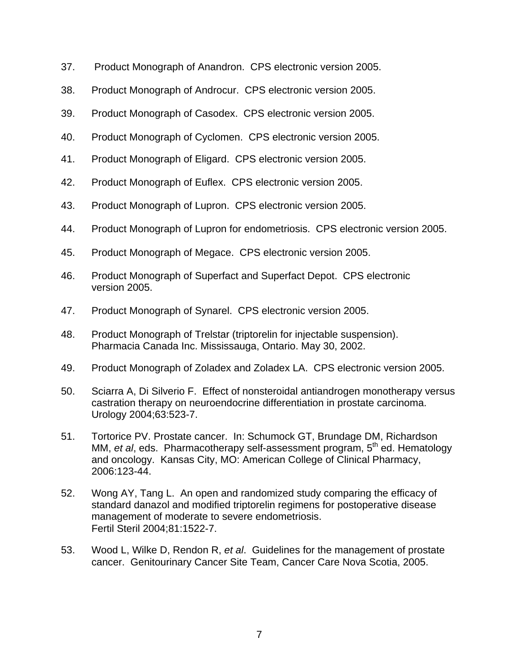- 37. Product Monograph of Anandron. CPS electronic version 2005.
- 38. Product Monograph of Androcur. CPS electronic version 2005.
- 39. Product Monograph of Casodex. CPS electronic version 2005.
- 40. Product Monograph of Cyclomen. CPS electronic version 2005.
- 41. Product Monograph of Eligard. CPS electronic version 2005.
- 42. Product Monograph of Euflex. CPS electronic version 2005.
- 43. Product Monograph of Lupron. CPS electronic version 2005.
- 44. Product Monograph of Lupron for endometriosis. CPS electronic version 2005.
- 45. Product Monograph of Megace. CPS electronic version 2005.
- 46. Product Monograph of Superfact and Superfact Depot. CPS electronic version 2005.
- 47. Product Monograph of Synarel. CPS electronic version 2005.
- 48. Product Monograph of Trelstar (triptorelin for injectable suspension). Pharmacia Canada Inc. Mississauga, Ontario. May 30, 2002.
- 49. Product Monograph of Zoladex and Zoladex LA. CPS electronic version 2005.
- 50. Sciarra A, Di Silverio F. Effect of nonsteroidal antiandrogen monotherapy versus castration therapy on neuroendocrine differentiation in prostate carcinoma. Urology 2004;63:523-7.
- 51. Tortorice PV. Prostate cancer. In: Schumock GT, Brundage DM, Richardson MM, *et al.* eds. Pharmacotherapy self-assessment program, 5<sup>th</sup> ed. Hematology and oncology. Kansas City, MO: American College of Clinical Pharmacy, 2006:123-44.
- 52. Wong AY, Tang L. An open and randomized study comparing the efficacy of standard danazol and modified triptorelin regimens for postoperative disease management of moderate to severe endometriosis. Fertil Steril 2004;81:1522-7.
- 53. Wood L, Wilke D, Rendon R, *et al*. Guidelines for the management of prostate cancer. Genitourinary Cancer Site Team, Cancer Care Nova Scotia, 2005.